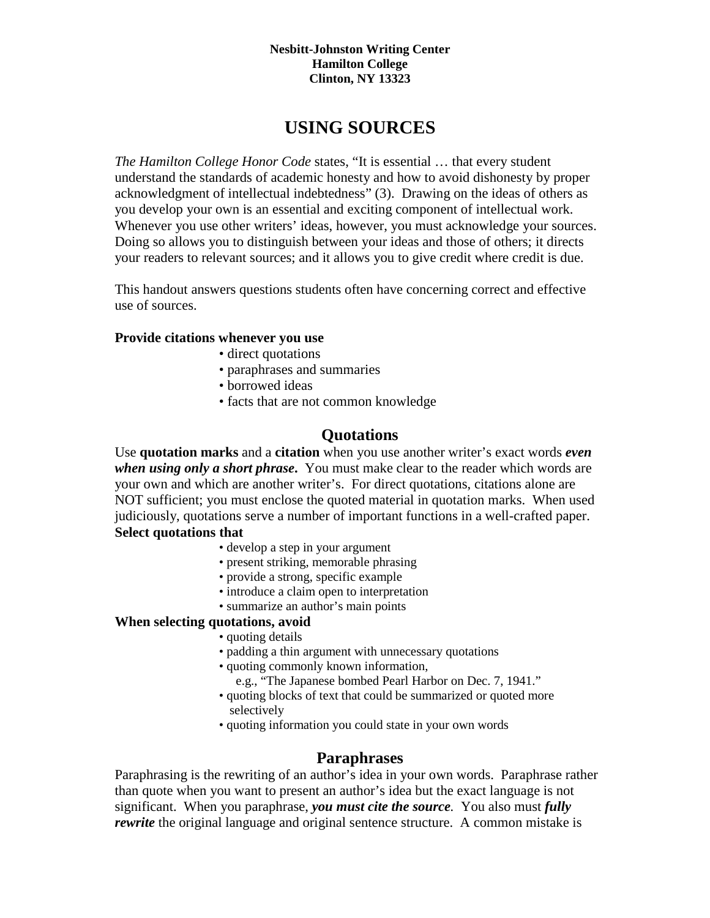#### **Nesbitt-Johnston Writing Center Hamilton College Clinton, NY 13323**

# **USING SOURCES**

*The Hamilton College Honor Code* states, "It is essential … that every student understand the standards of academic honesty and how to avoid dishonesty by proper acknowledgment of intellectual indebtedness" (3). Drawing on the ideas of others as you develop your own is an essential and exciting component of intellectual work. Whenever you use other writers' ideas, however, you must acknowledge your sources. Doing so allows you to distinguish between your ideas and those of others; it directs your readers to relevant sources; and it allows you to give credit where credit is due.

This handout answers questions students often have concerning correct and effective use of sources.

## **Provide citations whenever you use**

- direct quotations
- paraphrases and summaries
- borrowed ideas
- facts that are not common knowledge

## **Quotations**

Use **quotation marks** and a **citation** when you use another writer's exact words *even when using only a short phrase***.** You must make clear to the reader which words are your own and which are another writer's. For direct quotations, citations alone are NOT sufficient; you must enclose the quoted material in quotation marks. When used judiciously, quotations serve a number of important functions in a well-crafted paper. **Select quotations that** 

- develop a step in your argument
- present striking, memorable phrasing
- provide a strong, specific example
- introduce a claim open to interpretation
- summarize an author's main points

## **When selecting quotations, avoid**

- quoting details
- padding a thin argument with unnecessary quotations
- quoting commonly known information,
	- e.g., "The Japanese bombed Pearl Harbor on Dec. 7, 1941."
- quoting blocks of text that could be summarized or quoted more selectively
- quoting information you could state in your own words

## **Paraphrases**

Paraphrasing is the rewriting of an author's idea in your own words. Paraphrase rather than quote when you want to present an author's idea but the exact language is not significant. When you paraphrase, *you must cite the source.* You also must *fully rewrite* the original language and original sentence structure. A common mistake is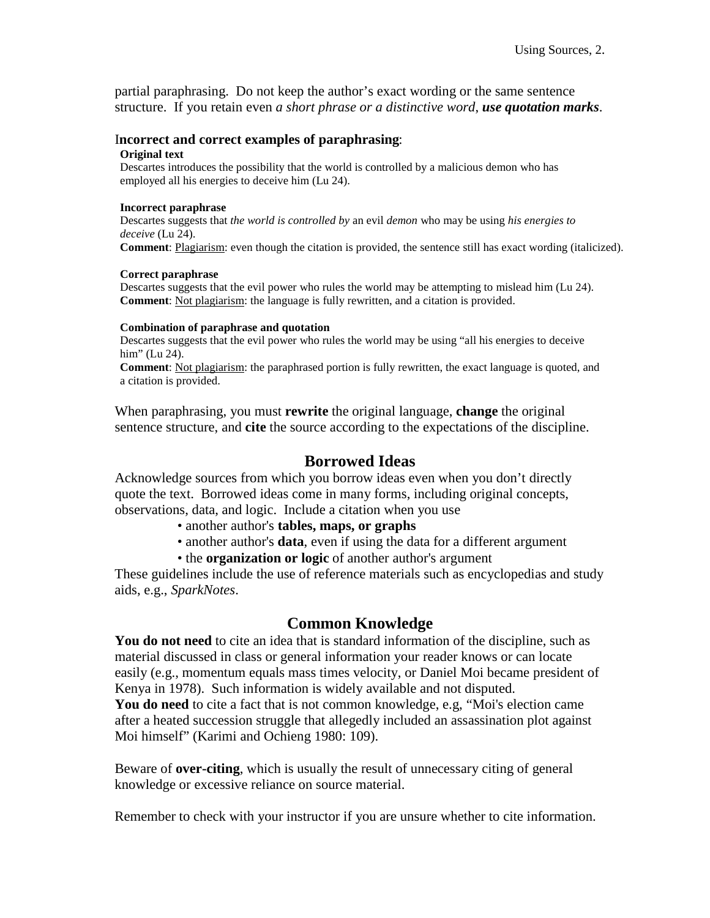partial paraphrasing. Do not keep the author's exact wording or the same sentence structure. If you retain even *a short phrase or a distinctive word*, *use quotation marks*.

#### I**ncorrect and correct examples of paraphrasing**:

#### **Original text**

Descartes introduces the possibility that the world is controlled by a malicious demon who has employed all his energies to deceive him (Lu 24).

#### **Incorrect paraphrase**

Descartes suggests that *the world is controlled by* an evil *demon* who may be using *his energies to deceive* (Lu 24).

**Comment**: Plagiarism: even though the citation is provided, the sentence still has exact wording (italicized).

#### **Correct paraphrase**

Descartes suggests that the evil power who rules the world may be attempting to mislead him (Lu 24). **Comment**: Not plagiarism: the language is fully rewritten, and a citation is provided.

#### **Combination of paraphrase and quotation**

Descartes suggests that the evil power who rules the world may be using "all his energies to deceive him" (Lu 24).

**Comment**: Not plagiarism: the paraphrased portion is fully rewritten, the exact language is quoted, and a citation is provided.

When paraphrasing, you must **rewrite** the original language, **change** the original sentence structure, and **cite** the source according to the expectations of the discipline.

### **Borrowed Ideas**

Acknowledge sources from which you borrow ideas even when you don't directly quote the text. Borrowed ideas come in many forms, including original concepts, observations, data, and logic. Include a citation when you use

- another author's **tables, maps, or graphs**
- another author's **data**, even if using the data for a different argument
- the **organization or logic** of another author's argument

These guidelines include the use of reference materials such as encyclopedias and study aids, e.g., *SparkNotes*.

## **Common Knowledge**

**You do not need** to cite an idea that is standard information of the discipline, such as material discussed in class or general information your reader knows or can locate easily (e.g., momentum equals mass times velocity, or Daniel Moi became president of Kenya in 1978). Such information is widely available and not disputed.

**You do need** to cite a fact that is not common knowledge, e.g, "Moi's election came after a heated succession struggle that allegedly included an assassination plot against Moi himself" (Karimi and Ochieng 1980: 109).

Beware of **over-citing**, which is usually the result of unnecessary citing of general knowledge or excessive reliance on source material.

Remember to check with your instructor if you are unsure whether to cite information.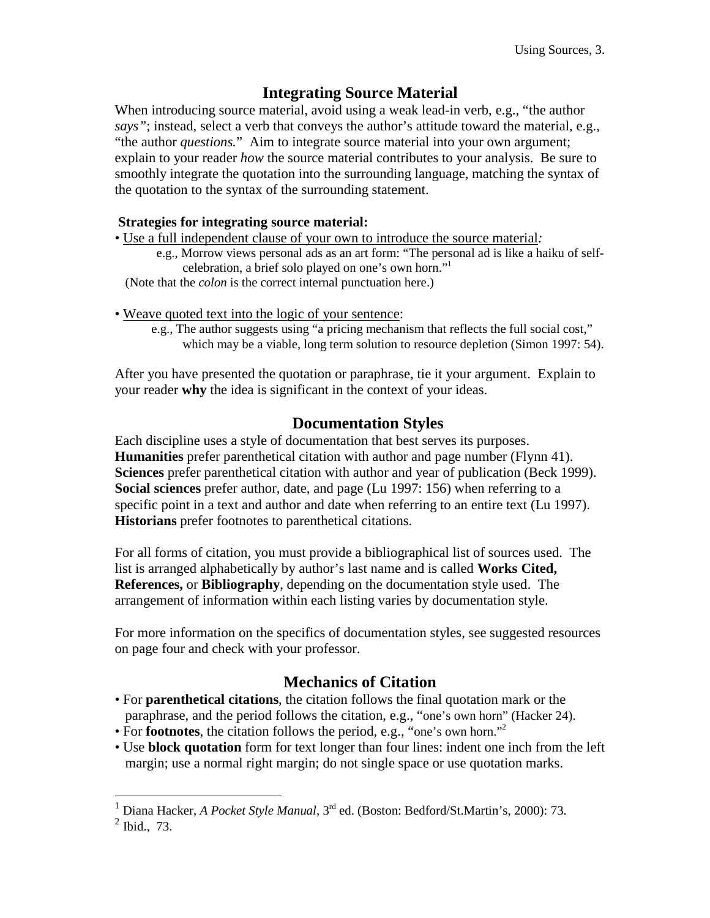# **Integrating Source Material**

When introducing source material, avoid using a weak lead-in verb, e.g., "the author *says"*; instead, select a verb that conveys the author's attitude toward the material, e.g., "the author *questions.*" Aim to integrate source material into your own argument; explain to your reader *how* the source material contributes to your analysis. Be sure to smoothly integrate the quotation into the surrounding language, matching the syntax of the quotation to the syntax of the surrounding statement.

## **Strategies for integrating source material:**

- Use a full independent clause of your own to introduce the source material*:*
	- e.g., Morrow views personal ads as an art form: "The personal ad is like a haiku of selfcelebration, a brief solo played on one's own horn."1

(Note that the *colon* is the correct internal punctuation here.)

- Weave quoted text into the logic of your sentence:
	- e.g., The author suggests using "a pricing mechanism that reflects the full social cost," which may be a viable, long term solution to resource depletion (Simon 1997: 54).

After you have presented the quotation or paraphrase, tie it your argument. Explain to your reader **why** the idea is significant in the context of your ideas.

# **Documentation Styles**

Each discipline uses a style of documentation that best serves its purposes. **Humanities** prefer parenthetical citation with author and page number (Flynn 41). **Sciences** prefer parenthetical citation with author and year of publication (Beck 1999). **Social sciences** prefer author, date, and page (Lu 1997: 156) when referring to a specific point in a text and author and date when referring to an entire text (Lu 1997). **Historians** prefer footnotes to parenthetical citations.

For all forms of citation, you must provide a bibliographical list of sources used. The list is arranged alphabetically by author's last name and is called **Works Cited, References,** or **Bibliography**, depending on the documentation style used. The arrangement of information within each listing varies by documentation style.

For more information on the specifics of documentation styles, see suggested resources on page four and check with your professor.

# **Mechanics of Citation**

- For **parenthetical citations**, the citation follows the final quotation mark or the paraphrase, and the period follows the citation, e.g., "one's own horn" (Hacker 24).
- For **footnotes**, the citation follows the period, e.g., "one's own horn."<sup>2</sup>
- Use **block quotation** form for text longer than four lines: indent one inch from the left margin; use a normal right margin; do not single space or use quotation marks.

<sup>1</sup> Diana Hacker, *A Pocket Style Manual*, 3rd ed. (Boston: Bedford/St.Martin's, 2000): 73.

 $<sup>2</sup>$  Ibid., 73.</sup>